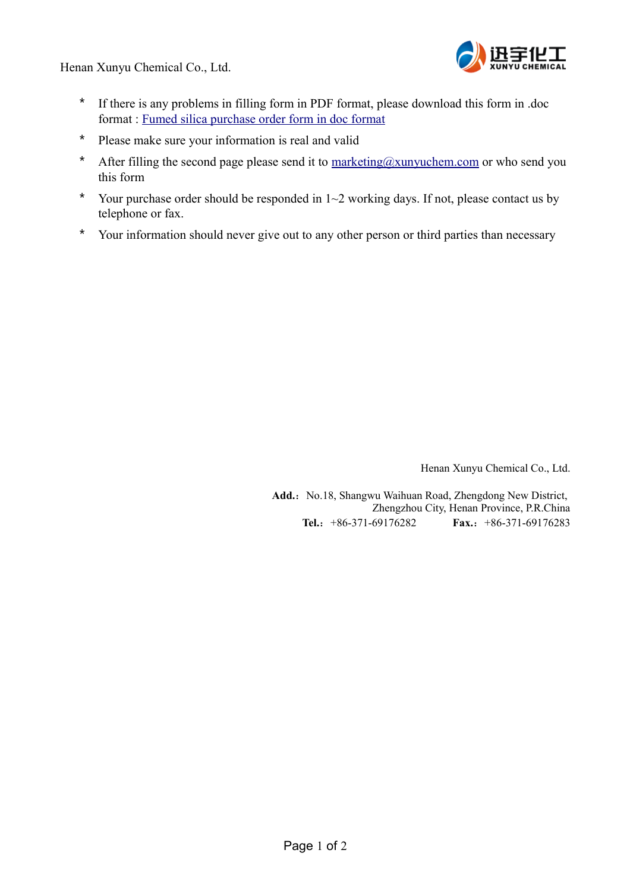Henan Xunyu Chemical Co., Ltd.



- \* If there is any problems in filling form in PDF format, please download this form in .doc format : [Fumed silica purchase order form in doc format](http://xunyuchem.com/en/downloads/xunyu-fumed-silica-purchase-order-form.doc)
- \* Please make sure your information is real and valid
- \* After filling the second page please send it to  $\frac{\text{marketing}(a)\text{xunyuchem.com}}{\text{m} \cdot \text{cm} \cdot \text{cm}}$  or who send you this form
- \* Your purchase order should be responded in 1~2 working days. If not, please contact us by telephone or fax.
- \* Your information should never give out to any other person or third parties than necessary

Henan Xunyu Chemical Co., Ltd.

Add.: No.18, Shangwu Waihuan Road, Zhengdong New District, Zhengzhou City, Henan Province, P.R.China **Tel.**:+86-371-69176282 **Fax.**:+86-371-69176283